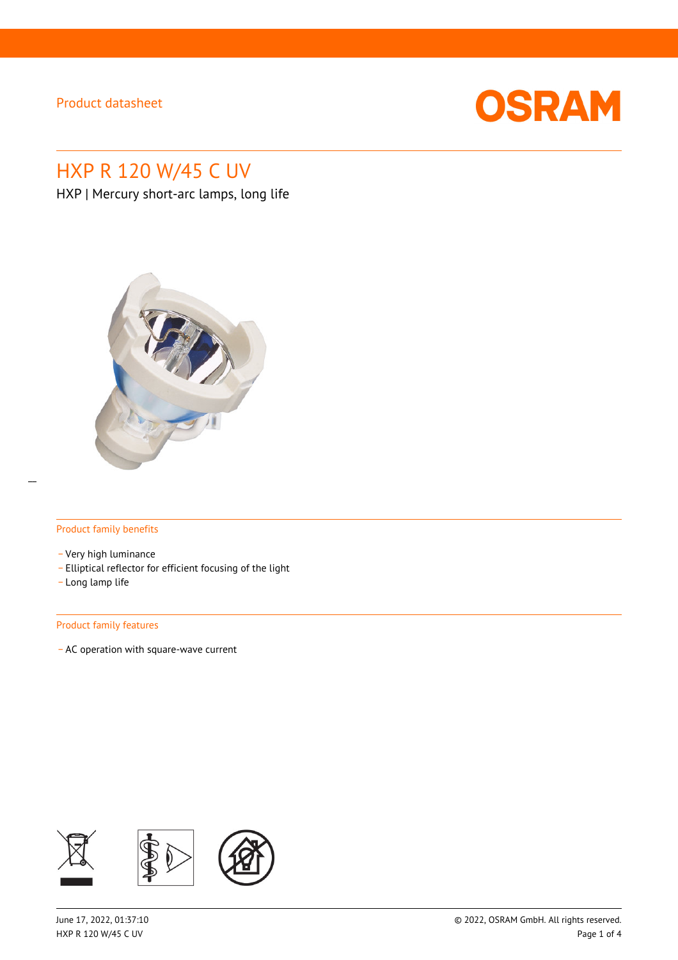

# HXP R 120 W/45 C UV

HXP | Mercury short-arc lamps, long life



#### Product family benefits

- \_ Very high luminance
- \_ Elliptical reflector for efficient focusing of the light
- \_ Long lamp life

#### Product family features

\_ AC operation with square-wave current

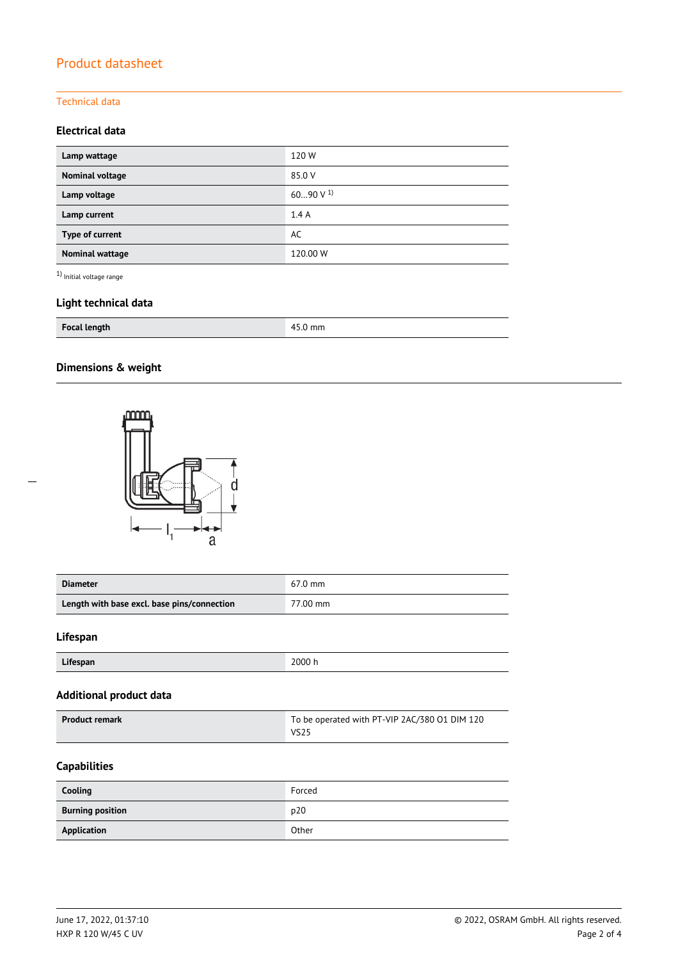### Technical data

### **Electrical data**

| Lamp wattage    | 120W           |
|-----------------|----------------|
| Nominal voltage | 85.0 V         |
| Lamp voltage    | 6090 V $^{1)}$ |
| Lamp current    | 1.4A           |
| Type of current | AC             |
| Nominal wattage | 120.00 W       |

 $^{\rm 1)}$  Initial voltage range

## **Light technical data**

| <b>Focal length</b> | mm<br>л |
|---------------------|---------|
|---------------------|---------|

## **Dimensions & weight**



| <b>Diameter</b>                             | $67.0$ mm |
|---------------------------------------------|-----------|
| Length with base excl. base pins/connection | 77.00 mm  |

### **Lifespan**

| Lifespan | 2000 h |
|----------|--------|

### **Additional product data**

| <b>Product remark</b> | To be operated with PT-VIP 2AC/380 01 DIM 120 |  |
|-----------------------|-----------------------------------------------|--|
|                       | VS <sub>25</sub>                              |  |

### **Capabilities**

| Cooling                 | Forced |
|-------------------------|--------|
| <b>Burning position</b> | p20    |
| Application             | Other  |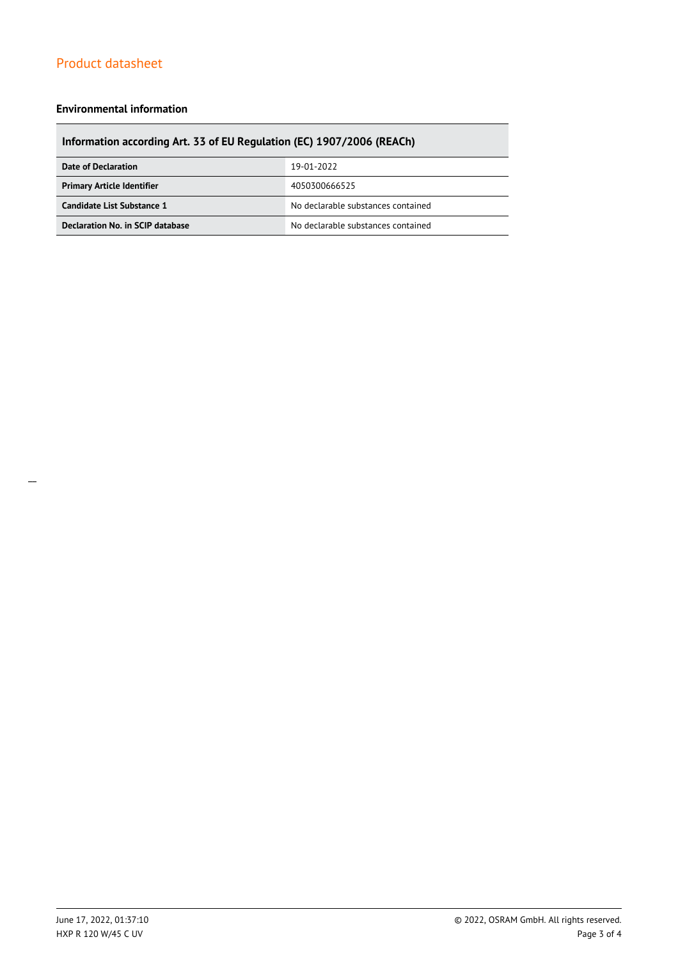#### **Environmental information**

## **Information according Art. 33 of EU Regulation (EC) 1907/2006 (REACh)**

| Date of Declaration               | 19-01-2022                         |  |
|-----------------------------------|------------------------------------|--|
| <b>Primary Article Identifier</b> | 4050300666525                      |  |
| Candidate List Substance 1        | No declarable substances contained |  |
| Declaration No. in SCIP database  | No declarable substances contained |  |